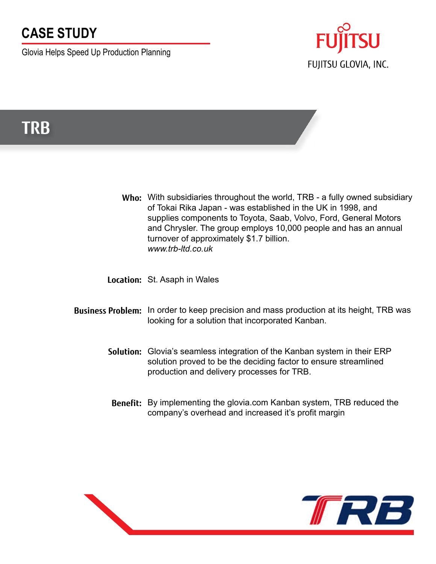## **CASE STUDY**

Glovia Helps Speed Up Production Planning



# **TRB**

Who: With subsidiaries throughout the world, TRB - a fully owned subsidiary of Tokai Rika Japan - was established in the UK in 1998, and supplies components to Toyota, Saab, Volvo, Ford, General Motors and Chrysler. The group employs 10,000 people and has an annual turnover of approximately \$1.7 billion. *www.trb-ltd.co.uk*

**Location:** St. Asaph in Wales

- **Business Problem:** In order to keep precision and mass production at its height, TRB was looking for a solution that incorporated Kanban.
	- **Solution:** Glovia's seamless integration of the Kanban system in their ERP solution proved to be the deciding factor to ensure streamlined production and delivery processes for TRB.
	- **Benefit:** By implementing the glovia.com Kanban system, TRB reduced the company's overhead and increased it's profit margin

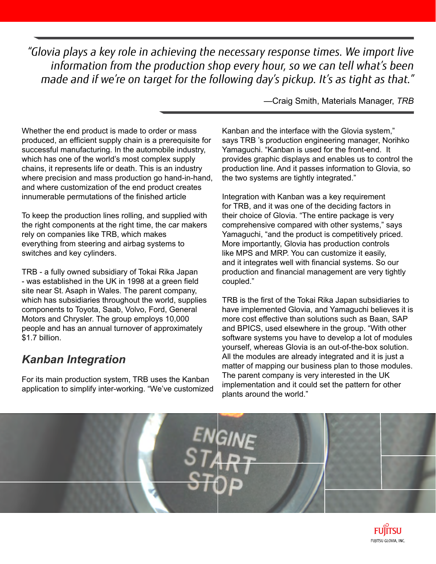*"Glovia plays a key role in achieving the necessary response times. We import live information from the production shop every hour, so we can tell what's been made and if we're on target for the following day's pickup. It's as tight as that."*

—Craig Smith, Materials Manager, *TRB*

Whether the end product is made to order or mass produced, an efficient supply chain is a prerequisite for successful manufacturing. In the automobile industry, which has one of the world's most complex supply chains, it represents life or death. This is an industry where precision and mass production go hand-in-hand, and where customization of the end product creates innumerable permutations of the finished article

To keep the production lines rolling, and supplied with the right components at the right time, the car makers rely on companies like TRB, which makes everything from steering and airbag systems to switches and key cylinders.

TRB - a fully owned subsidiary of Tokai Rika Japan - was established in the UK in 1998 at a green field site near St. Asaph in Wales. The parent company, which has subsidiaries throughout the world, supplies components to Toyota, Saab, Volvo, Ford, General Motors and Chrysler. The group employs 10,000 people and has an annual turnover of approximately \$1.7 billion.

### *Kanban Integration*

For its main production system, TRB uses the Kanban application to simplify inter-working. "We've customized Kanban and the interface with the Glovia system," says TRB 's production engineering manager, Norihko Yamaguchi. "Kanban is used for the front-end. It provides graphic displays and enables us to control the production line. And it passes information to Glovia, so the two systems are tightly integrated."

Integration with Kanban was a key requirement for TRB, and it was one of the deciding factors in their choice of Glovia. "The entire package is very comprehensive compared with other systems," says Yamaguchi, "and the product is competitively priced. More importantly, Glovia has production controls like MPS and MRP. You can customize it easily, and it integrates well with financial systems. So our production and financial management are very tightly coupled."

TRB is the first of the Tokai Rika Japan subsidiaries to have implemented Glovia, and Yamaguchi believes it is more cost effective than solutions such as Baan, SAP and BPICS, used elsewhere in the group. "With other software systems you have to develop a lot of modules yourself, whereas Glovia is an out-of-the-box solution. All the modules are already integrated and it is just a matter of mapping our business plan to those modules. The parent company is very interested in the UK implementation and it could set the pattern for other plants around the world."



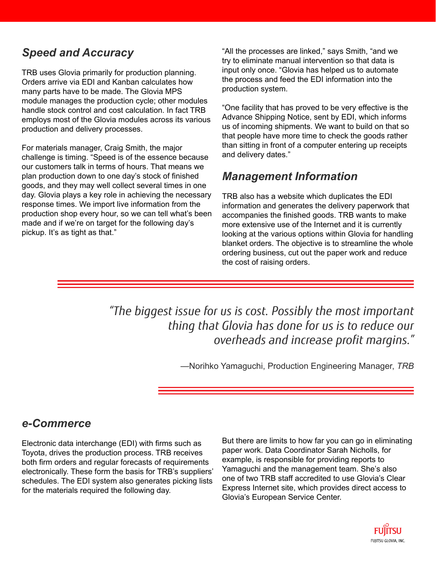### *Speed and Accuracy*

TRB uses Glovia primarily for production planning. Orders arrive via EDI and Kanban calculates how many parts have to be made. The Glovia MPS module manages the production cycle; other modules handle stock control and cost calculation. In fact TRB employs most of the Glovia modules across its various production and delivery processes.

For materials manager, Craig Smith, the major challenge is timing. "Speed is of the essence because our customers talk in terms of hours. That means we plan production down to one day's stock of finished goods, and they may well collect several times in one day. Glovia plays a key role in achieving the necessary response times. We import live information from the production shop every hour, so we can tell what's been made and if we're on target for the following day's pickup. It's as tight as that."

"All the processes are linked," says Smith, "and we try to eliminate manual intervention so that data is input only once. "Glovia has helped us to automate the process and feed the EDI information into the production system.

"One facility that has proved to be very effective is the Advance Shipping Notice, sent by EDI, which informs us of incoming shipments. We want to build on that so that people have more time to check the goods rather than sitting in front of a computer entering up receipts and delivery dates."

#### *Management Information*

TRB also has a website which duplicates the EDI information and generates the delivery paperwork that accompanies the finished goods. TRB wants to make more extensive use of the Internet and it is currently looking at the various options within Glovia for handling blanket orders. The objective is to streamline the whole ordering business, cut out the paper work and reduce the cost of raising orders.

*"The biggest issue for us is cost. Possibly the most important thing that Glovia has done for us is to reduce our overheads and increase profit margins."*

—Norihko Yamaguchi, Production Engineering Manager, *TRB*

#### *e-Commerce*

Electronic data interchange (EDI) with firms such as Toyota, drives the production process. TRB receives both firm orders and regular forecasts of requirements electronically. These form the basis for TRB's suppliers' schedules. The EDI system also generates picking lists for the materials required the following day.

But there are limits to how far you can go in eliminating paper work. Data Coordinator Sarah Nicholls, for example, is responsible for providing reports to Yamaguchi and the management team. She's also one of two TRB staff accredited to use Glovia's Clear Express Internet site, which provides direct access to Glovia's European Service Center.